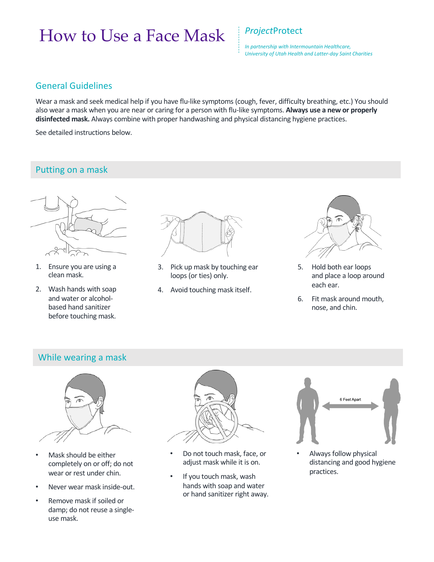# How to Use a Face Mask *Project*Protect

*In partnership with Intermountain Healthcare, University of Utah Health and Latter-day Saint Charities* 

#### General Guidelines

Wear a mask and seek medical help if you have flu-like symptoms (cough, fever, difficulty breathing, etc.) You should also wear a mask when you are near or caring for a person with flu-like symptoms. **Always use a new or properly disinfected mask.** Always combine with proper handwashing and physical distancing hygiene practices.

See detailed instructions below.

## Putting on a mask



- 1. Ensure you are using a clean mask.
- 2. Wash hands with soap and water or alcoholbased hand sanitizer before touching mask.



- 3. Pick up mask by touching ear loops (or ties) only.
- 4. Avoid touching mask itself.



- 5. Hold both ear loops and place a loop around each ear.
- 6. Fit mask around mouth, nose, and chin.

#### While wearing a mask



- Mask should be either completely on or off; do not wear or rest under chin.
- Never wear mask inside-out.
- Remove mask if soiled or damp; do not reuse a singleuse mask.



- Do not touch mask, face, or adjust mask while it is on.
- If you touch mask, wash hands with soap and water or hand sanitizer right away.



• Always follow physical distancing and good hygiene practices.